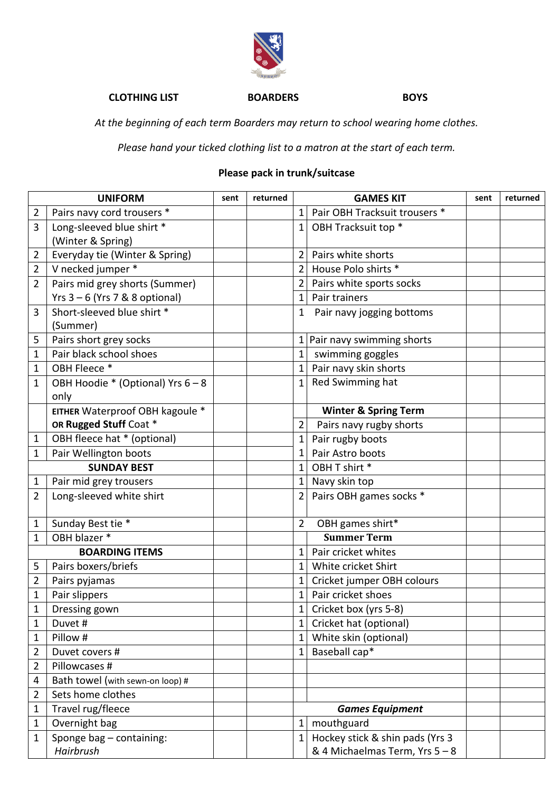

## **CLOTHING LIST BOARDERS BOYS**

*At the beginning of each term Boarders may return to school wearing home clothes.*

*Please hand your ticked clothing list to a matron at the start of each term.*

## **Please pack in trunk/suitcase**

| <b>UNIFORM</b>        |                                        | sent | returned | <b>GAMES KIT</b> |                                                                   | sent | returned |
|-----------------------|----------------------------------------|------|----------|------------------|-------------------------------------------------------------------|------|----------|
| $\overline{2}$        | Pairs navy cord trousers *             |      |          | 1                | Pair OBH Tracksuit trousers *                                     |      |          |
| 3                     | Long-sleeved blue shirt *              |      |          | $\mathbf{1}$     | OBH Tracksuit top *                                               |      |          |
|                       | (Winter & Spring)                      |      |          |                  |                                                                   |      |          |
| $\overline{2}$        | Everyday tie (Winter & Spring)         |      |          | $\overline{2}$   | Pairs white shorts                                                |      |          |
| $\overline{2}$        | V necked jumper *                      |      |          | $\overline{2}$   | House Polo shirts *                                               |      |          |
| $\overline{2}$        | Pairs mid grey shorts (Summer)         |      |          | 2                | Pairs white sports socks                                          |      |          |
|                       | Yrs $3 - 6$ (Yrs 7 & 8 optional)       |      |          | 1                | Pair trainers                                                     |      |          |
| 3                     | Short-sleeved blue shirt *<br>(Summer) |      |          | 1                | Pair navy jogging bottoms                                         |      |          |
| 5                     | Pairs short grey socks                 |      |          | $\mathbf 1$      | Pair navy swimming shorts                                         |      |          |
| $\mathbf{1}$          | Pair black school shoes                |      |          | 1                | swimming goggles                                                  |      |          |
| $\mathbf{1}$          | OBH Fleece *                           |      |          | $\mathbf 1$      | Pair navy skin shorts                                             |      |          |
| $\mathbf{1}$          | OBH Hoodie * (Optional) Yrs 6 - 8      |      |          | 1                | Red Swimming hat                                                  |      |          |
|                       | only                                   |      |          |                  |                                                                   |      |          |
|                       | EITHER Waterproof OBH kagoule *        |      |          |                  | <b>Winter &amp; Spring Term</b>                                   |      |          |
|                       | OR Rugged Stuff Coat *                 |      |          | $\overline{2}$   | Pairs navy rugby shorts                                           |      |          |
| $\mathbf{1}$          | OBH fleece hat * (optional)            |      |          | 1                | Pair rugby boots                                                  |      |          |
| $\mathbf{1}$          | Pair Wellington boots                  |      |          | 1                | Pair Astro boots                                                  |      |          |
|                       | <b>SUNDAY BEST</b>                     |      |          | $\mathbf{1}$     | OBH T shirt *                                                     |      |          |
| $\mathbf{1}$          | Pair mid grey trousers                 |      |          | 1                | Navy skin top                                                     |      |          |
| $\overline{2}$        | Long-sleeved white shirt               |      |          | $\overline{2}$   | Pairs OBH games socks *                                           |      |          |
| $\mathbf{1}$          | Sunday Best tie *                      |      |          | $\overline{2}$   | OBH games shirt*                                                  |      |          |
| $\mathbf{1}$          | OBH blazer *                           |      |          |                  | <b>Summer Term</b>                                                |      |          |
| <b>BOARDING ITEMS</b> |                                        |      |          | 1                | Pair cricket whites                                               |      |          |
| 5                     | Pairs boxers/briefs                    |      |          | 1                | White cricket Shirt                                               |      |          |
| $\overline{2}$        | Pairs pyjamas                          |      |          | $\mathbf 1$      | Cricket jumper OBH colours                                        |      |          |
| $\mathbf 1$           | Pair slippers                          |      |          | $\mathbf 1$      | Pair cricket shoes                                                |      |          |
| 1                     | Dressing gown                          |      |          | 1                | Cricket box (yrs 5-8)                                             |      |          |
| 1                     | Duvet #                                |      |          | 1                | Cricket hat (optional)                                            |      |          |
| 1                     | Pillow #                               |      |          | $\mathbf 1$      | White skin (optional)                                             |      |          |
| $\overline{2}$        | Duvet covers #                         |      |          | 1                | Baseball cap*                                                     |      |          |
| $\overline{2}$        | Pillowcases #                          |      |          |                  |                                                                   |      |          |
| 4                     | Bath towel (with sewn-on loop) #       |      |          |                  |                                                                   |      |          |
| $\overline{2}$        | Sets home clothes                      |      |          |                  |                                                                   |      |          |
| 1                     | Travel rug/fleece                      |      |          |                  | <b>Games Equipment</b>                                            |      |          |
| $\mathbf{1}$          | Overnight bag                          |      |          | $\mathbf 1$      | mouthguard                                                        |      |          |
| $\mathbf{1}$          | Sponge bag - containing:<br>Hairbrush  |      |          | $\mathbf{1}$     | Hockey stick & shin pads (Yrs 3<br>& 4 Michaelmas Term, Yrs 5 - 8 |      |          |